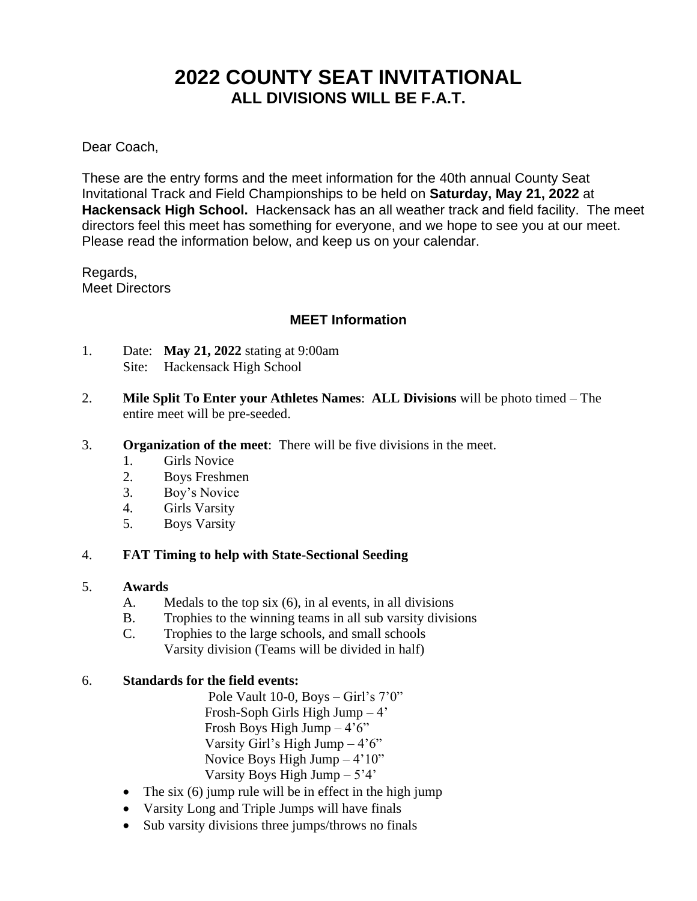# **2022 COUNTY SEAT INVITATIONAL ALL DIVISIONS WILL BE F.A.T.**

Dear Coach,

These are the entry forms and the meet information for the 40th annual County Seat Invitational Track and Field Championships to be held on **Saturday, May 21, 2022** at **Hackensack High School.** Hackensack has an all weather track and field facility. The meet directors feel this meet has something for everyone, and we hope to see you at our meet. Please read the information below, and keep us on your calendar.

Regards, Meet Directors

## **MEET Information**

- 1. Date: **May 21, 2022** stating at 9:00am Site: Hackensack High School
- 2. **Mile Split To Enter your Athletes Names**: **ALL Divisions** will be photo timed The entire meet will be pre-seeded.
- 3. **Organization of the meet**: There will be five divisions in the meet.
	- 1. Girls Novice
	- 2. Boys Freshmen
	- 3. Boy's Novice
	- 4. Girls Varsity
	- 5. Boys Varsity

#### 4. **FAT Timing to help with State-Sectional Seeding**

#### 5. **Awards**

- A. Medals to the top six (6), in al events, in all divisions
- B. Trophies to the winning teams in all sub varsity divisions
- C. Trophies to the large schools, and small schools Varsity division (Teams will be divided in half)

#### 6. **Standards for the field events:**

Pole Vault 10-0, Boys – Girl's 7'0" Frosh-Soph Girls High Jump – 4' Frosh Boys High Jump  $-4'6''$ Varsity Girl's High Jump – 4'6" Novice Boys High Jump – 4'10" Varsity Boys High Jump – 5'4'

- The six  $(6)$  jump rule will be in effect in the high jump
- Varsity Long and Triple Jumps will have finals
- Sub varsity divisions three jumps/throws no finals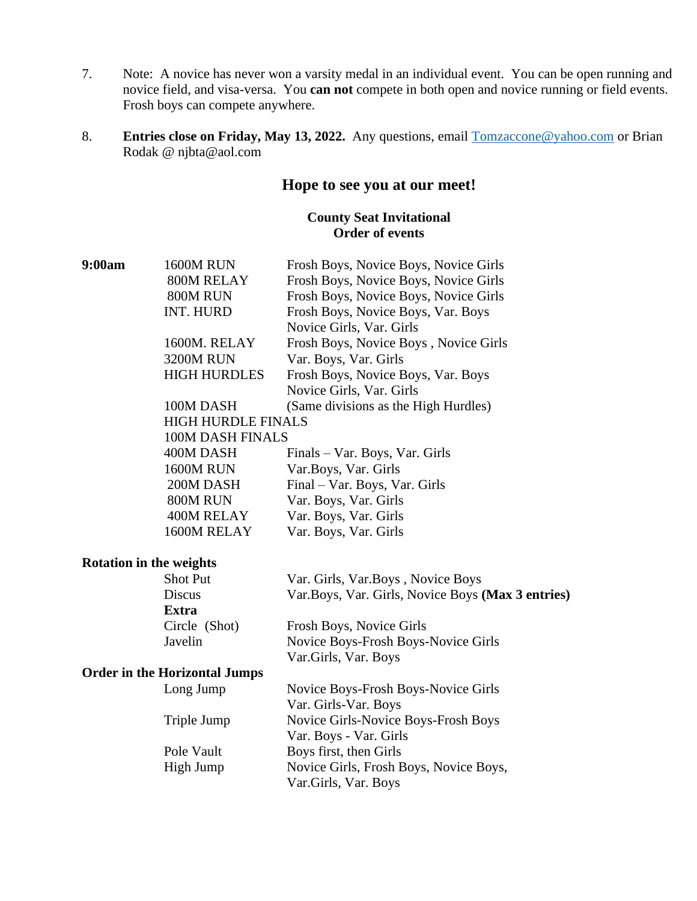- 7. Note: A novice has never won a varsity medal in an individual event. You can be open running and novice field, and visa-versa. You **can not** compete in both open and novice running or field events. Frosh boys can compete anywhere.
- 8. **Entries close on Friday, May 13, 2022.** Any questions, email [Tomzaccone@yahoo.com](mailto:Tomzaccone@yahoo.com) or Brian Rodak @ njbta@aol.com

# **Hope to see you at our meet!**

## **County Seat Invitational Order of events**

| 9:00am | <b>1600M RUN</b>                     | Frosh Boys, Novice Boys, Novice Girls              |  |
|--------|--------------------------------------|----------------------------------------------------|--|
|        | 800M RELAY                           | Frosh Boys, Novice Boys, Novice Girls              |  |
|        | 800M RUN                             | Frosh Boys, Novice Boys, Novice Girls              |  |
|        | INT. HURD                            | Frosh Boys, Novice Boys, Var. Boys                 |  |
|        |                                      | Novice Girls, Var. Girls                           |  |
|        | 1600M. RELAY                         | Frosh Boys, Novice Boys, Novice Girls              |  |
|        | <b>3200M RUN</b>                     | Var. Boys, Var. Girls                              |  |
|        | <b>HIGH HURDLES</b>                  | Frosh Boys, Novice Boys, Var. Boys                 |  |
|        |                                      | Novice Girls, Var. Girls                           |  |
|        | 100M DASH                            | (Same divisions as the High Hurdles)               |  |
|        | <b>HIGH HURDLE FINALS</b>            |                                                    |  |
|        | <b>100M DASH FINALS</b>              |                                                    |  |
|        | 400M DASH                            | Finals – Var. Boys, Var. Girls                     |  |
|        | <b>1600M RUN</b>                     | Var. Boys, Var. Girls                              |  |
|        | 200M DASH                            | Final – Var. Boys, Var. Girls                      |  |
|        | 800M RUN                             | Var. Boys, Var. Girls                              |  |
|        | 400M RELAY                           | Var. Boys, Var. Girls                              |  |
|        | 1600M RELAY                          | Var. Boys, Var. Girls                              |  |
|        | <b>Rotation in the weights</b>       |                                                    |  |
|        | Shot Put                             | Var. Girls, Var.Boys, Novice Boys                  |  |
|        | Discus                               | Var. Boys, Var. Girls, Novice Boys (Max 3 entries) |  |
|        | Extra                                |                                                    |  |
|        | Circle (Shot)                        | Frosh Boys, Novice Girls                           |  |
|        | Javelin                              | Novice Boys-Frosh Boys-Novice Girls                |  |
|        |                                      | Var.Girls, Var. Boys                               |  |
|        | <b>Order in the Horizontal Jumps</b> |                                                    |  |
|        | Long Jump                            | Novice Boys-Frosh Boys-Novice Girls                |  |
|        |                                      | Var. Girls-Var. Boys                               |  |
|        | Triple Jump                          | Novice Girls-Novice Boys-Frosh Boys                |  |
|        |                                      | Var. Boys - Var. Girls                             |  |
|        | Pole Vault                           | Boys first, then Girls                             |  |
|        | High Jump                            | Novice Girls, Frosh Boys, Novice Boys,             |  |
|        |                                      | Var.Girls, Var. Boys                               |  |